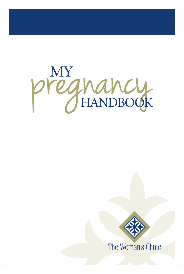



The Woman's Clinic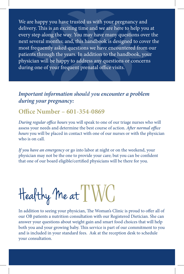We are happy you have trusted us with your pregnancy and delivery. This is an exciting time and we are here to help you at every step along the way. You may have many questions over the next several months; and, this handbook is designed to cover the most frequently asked questions we have encountered from our patients through the years. In addition to the handbook, your physician will be happy to address any questions or concerns during one of your frequent prenatal office visits.

# *Important information should you encounter a problem during your pregnancy:*

# **Office Number – 601-354-0869**

*During regular office hours* you will speak to one of our triage nurses who will assess your needs and determine the best course of action. *After normal office hours* you will be placed in contact with one of our nurses or with the physician who is on call.

*If you have an emergency* or go into labor at night or on the weekend, your physician may not be the one to provide your care; but you can be confident that one of our board eligible/certified physicians will be there for you.

Healthy Me at I'WC

In addition to seeing your physician, The Woman's Clinic is proud to offer all of our OB patients a nutrition consultation with our Registered Dietician. She can answer your questions about weight gain and smart food choices that will help both you and your growing baby. This service is part of our commitment to you and is included in your standard fees. Ask at the reception desk to schedule your consultation.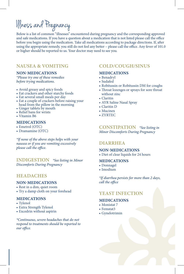# Illness and Pregnancy

Below is a list of common "illnesses" encountered during pregnancy and the corresponding approved and safe medications. If you have a question about a medication that is not listed please call the office before you begin using the medication. Take all medications according to package directions. If, after using the appropriate remedy, you still do not feel any better – please call the office. Any fever of 101.0 or higher should be reported to us. Your doctor may need to see you.

# **NAUSEA & VOMITING**

# **NON-MEDICATIONS**

*\*Please try one of these remedies before trying medications.*

- • Avoid greasy and spicy foods
- • Eat crackers and other starchy foods
- • Eat several small meals per day
- Eat a couple of crackers before raising your head from the pillow in the morning
- Ginger tablets by mouth
- • Relief bans for wrists
- Vitamin B6

# **MEDICATIONS**

- Emetrol (OTC)
- Dramamine (OTC)

*\*If none of the above steps helps with your nausea or if you are vomiting excessively please call the office.*

**INDIGESTION** *\*See listing in Minor Discomforts During Pregnancy*

# **HEADACHES**

# **NON-MEDICATIONS**

- Rest in a dim, quiet room
- Try a damp cloth on your forehead

## **MEDICATIONS**

- Tylenol
- Extra Strength Tylenol
- • Excedrin without aspirin

*\*Continuous, severe headaches that do not respond to treatments should be reported to our office.*

# **COLD/COUGH/SINUS**

## **MEDICATIONS**

- • Benadryl
- • Sudafed
- • Robitussin or Robitussin DM for coughs
- Throat lozenges or sprays for sore throat without zinc
- • Claritin
- AYR Saline Nasal Spray
- • Claritin D
- Mucinex
- • ZYRTEC

**CONSTIPATION** *\*See listing in Minor Discomforts During Pregnancy*

# **DIARRHEA**

# **NON-MEDICATIONS**

• Diet of clear liquids for 24 hours

# **MEDICATIONS**

- • Donnagel
- • Imodium

*\*If diarrhea persists for more than 2 days, call the office*

# **YEAST INFECTION**

#### **MEDICATIONS**

- Monistat 7
- Femstat3
- • Gynelotrimin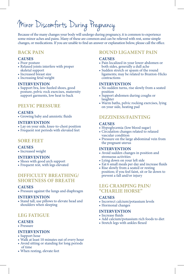# Minor Discomforts During Pregnancy

Because of the many changes your body will undergo during pregnancy, it is common to experience some minor aches and pains. Many of these are common and can be relieved with rest, some simple changes, or medications. If you are unable to find an answer or explanation below, please call the office.

# **BACK PAIN**

#### **CAUSES**

- Poor posture
- • Relaxed joints interfere with proper skeletal support
- Increased breast size
- Increasing fetal weight

#### **INTERVENTION**

• Support bra, low-heeled shoes, good posture, pelvic rock exercises, maternity support garments, low heat to back

# **PELVIC PRESSURE**

#### **CAUSES**

• Growing baby and amniotic fluids

#### **INTERVENTION**

- Lay on your side, knee-to-chest position
- • Frequent rest periods with elevated feet

# **SORE FEET**

## **CAUSES**

• Increased weight

## **INTERVENTION**

- Shoes with good arch support
- Frequent rest, with legs elevated

# **DIFFICULTY BREATHING/ SHORTNESS OF BREATH**

#### **CAUSES**

• Pressure against the lungs and diaphragm

#### **INTERVENTION**

• Stand tall, use pillows to elevate head and shoulders when sleeping

# **LEG FATIGUE**

#### **CAUSES**

• Pressure

#### **INTERVENTION**

- Support hose
- Walk at least 10 minutes out of every hour
- • Avoid sitting or standing for long periods
- of time • When resting, elevate feet

# **ROUND LIGAMENT PAIN**

## **CAUSES**

- Pain localized in your lower abdomen or both sides, generally a dull ache
- • Sudden stretch or spasm of the round ligaments; may be related to Braxton-Hicks contractions

## **INTERVENTION**

- • No sudden turns, rise slowly from a seated position
- Support abdomen during coughs or laughter
- Warm baths, pelvic rocking exercises, lying on your side, heating pad

# **DIZZINESS/FAINTING**

#### **CAUSES**

- Hypoglycemia (low blood sugar)
- • Circulation changes related to relaxed vascular condition
- Pressure on the large abdominal vein from the pregnant uterus

#### **INTERVENTION**

- • Avoid sudden changes in position and strenuous activities
- • Lying down on your left side
- Eat 6 small meals per day and increase fluids
- Rise slowly from a seated or resting position; if you feel faint, sit or lie down to prevent a fall and/or injury

# **LEG CRAMPING PAIN/ "CHARLIE HORSE"**

#### **CAUSES**

- Incorrect calcium/potassium levels
- Hormonal changes

## **INTERVENTION**

- Increase fluids
- • Add calcium/potassium rich foods to diet
- • Stretch legs with ankles flexed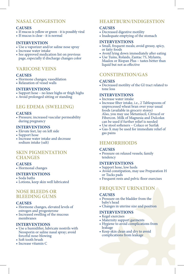# **NASAL CONGESTION**

# **CAUSES**

- If mucus is yellow or green it is possibly viral
- If mucus is clear it is normal

## **INTERVENTION**

- Use a vaporizer and/or saline nose spray
- • Increase water intake
- See approved medication list on previous page, especially if discharge changes color

# **VARICOSE VEINS**

# **CAUSES**

- Hormone changes; vasodilation
- Relaxation of vessel walls

#### **INTERVENTIONS**

- Support hose no knee highs or thigh highs
- Avoid prolonged sitting or standing

# **LEG EDEMA (SWELLING)**

#### **CAUSES**

• Pressure; increased vascular permeability during pregnancy

## **INTERVENTIONS**

- • Elevate feet, lay on left side
- Support hose
- Increase water intake and decrease sodium intake (salt)

# **SKIN PIGMENTATION CHANGES**

## **CAUSES**

• Hormonal changes

## **INTERVENTIONS**

- • Soda baths
- • Lotions, keep skin well lubricated

# **NOSE BLEEDS OR BLEEDING GUMS**

## **CAUSES**

- • Hormone changes, elevated levels of estrogen and progesterone
- • Increased swelling of the mucous membranes

## **INTERVENTIONS**

- • Use a humidifier, lubricate nostrils with Neosporin or saline nasal spray; avoid forceful nose-blowing
- Soft tooth brush
- • Increase vitamin C

# **HEARTBURN/INDIGESTION**

# **CAUSES**

- Decreased digestive motility
- Inadequate emptying of the stomach

# **INTERVENTIONS**

- • Small, frequent meals; avoid greasy, spicy, or fatty foods
- Avoid lying down immediately after eating
- • Use Tums, Rolaids, Zantac 75, Mylanta, Maalox or Riopan Plus – tastes better than liquid but not as effective

# **CONSTIPATION/GAS**

#### **CAUSES**

• Decreased motility of the GI tract related to tone loss

# **INTERVENTIONS**

- • Increase water intake
- • Increase fiber intake, i.e., 2 Tablespoons of unprocessed wheat bran over your usual foods (available in grocery stores) Also, you may use Metamucil, Citrucel or Fibercon. Milk of Magnesia and Dulcolax can be used if further relief is needed
- • Use stool softeners Colace or Surfak
- • Gas-X may be used for immediate relief of gas pains

# **HEMORRHOIDS**

#### **CAUSES**

• Pressure on relaxed vessels; family tendency

#### **INTERVENTIONS**

- • Support hose, low heels
- • Avoid constipation, may use Preparation H or Tucks pads
- • Frequent rests and pelvic floor exercises

# **FREQUENT URINATION**

#### **CAUSES**

- Pressure on the bladder from the baby's head
- • Changes in uterine size and position

### **INTERVENTIONS**

- Kegel exercises
- • Maternity support garments
- Hygiene to avoid complications from leakage
- Keep skin clean and dry to avoid complications from leakage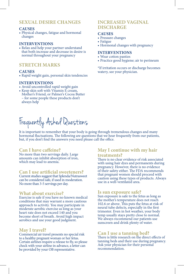# **SEXUAL DESIRE CHANGES**

#### **CAUSES**

• Physical changes, fatigue and hormonal changes

#### **INTERVENTIONS**

• Relax and help your partner understand that both increase and decrease in desire is normal throughout your pregnancy

# **STRETCH MARKS**

#### **CAUSES**

• Rapid weight gain, personal skin tendencies

#### **INTERVENTIONS**

- • Avoid uncontrolled rapid weight gain
- • Keep skin soft with Vitamin E cream, Mother's Friend, or Palmer's Cocoa Butter – for some people these products don't always help

# Frequently Asked Questions

It is important to remember that your body is going through tremendous changes and many hormonal fluctuations. The following are questions that we hear frequently from our patients, but, if you don't find the answers you need please call the office.

#### **Can I have caffeine?**

No more than two servings daily. Large amounts can inhibit absorption of iron, which may lead to anemia.

#### **Can I use artificial sweeteners?**

Current studies suggest that Splenda/Nutrasweet can be considered safe, if used in moderation. No more than 3-5 servings per day.

## **What about exercise?**

Exercise is safe if you have no known medical conditions that may warrant a more cautious approach to activity. You may participate in moderate aerobic exercise as long as your heart rate does not exceed 140 and you become short of breath. Avoid high impact aerobics and use your good judgment.

#### **May I travel?**

Commercial air travel presents no special risk to a healthy pregnant woman or her fetus. Certain airlines require a release to fly, so please check with your airline in advance, a letter can be provided by your OB representative.

# **INCREASED VAGINAL DISCHARGE**

#### **CAUSES**

- Pressure changes
- • Fatigue
- Hormonal changes with pregnancy

#### **INTERVENTIONS**

- • Wear cotton panties
- Practice good hygiene; air to perineum

\*If irritation occurs or discharge becomes watery, see your physician.

# **May I continue with my hair treatments?**

There is no clear evidence of risk associated with using hair dyes and permanents during pregnancy. However, there is no evidence of their safety either. The FDA recommends that pregnant women should proceed with caution using these types of products. Always use in a well-ventilated area.

#### **Is sun exposure safe?**

Sun exposure is safe to the fetus as long as the mother's temperature does not reach 102.6 or above. This puts the fetus at risk of neural tube defects, especially in the first trimester. Even in hot weather, your body temp usually stays pretty close to normal. We always recommend our patients use sunscreen and drink plenty of water.

## **Can I use a tanning bed?**

There is little research on the direct effects of tanning beds and their use during pregnancy. Ask your physician for their personal recommendation.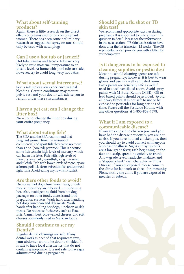# **What about self-tanning products?**

Again, there is little research on the direct effects of creams and lotions on pregnant women. There has been some preliminary research to suggest that spray on tans should only be used with nasal plugs.

# **Can I use a hot tub or Jacuzzi?**

Hot tubs, saunas and Jacuzzi tubs are very likely to raise maternal temperature to an unsafe level. At home whirlpool tubs are safe; however, try to avoid long, very hot baths.

# **What about sexual intercourse?**

Sex is safe unless you experience vaginal bleeding. Certain conditions may require pelvic rest and your doctor will advise you to refrain under these circumstances.

# **I have a pet cat; can I change the litter box?**

No – do not change the litter box during your entire pregnancy.

# **What about eating fish?**

The FDA and the EPA recommend that pregnant women limit the amount of commercial and sport fish they eat to no more than 12 oz. (cooked) per week. This is because some fish contain high levels of mercury, which can harm the fetus. Fish with high levels of mercury are shark, swordfish, king mackerel,<br>and tilefish. Fish with lower levels of mercury are salmon, pollock, farm-raised catfish and canned light tuna. Avoid eating any raw fish (sushi).

# **Are there other foods to avoid?**

Do not eat hot dogs, luncheon meats, or deli meats unless they are reheated until steaming hot. Also, avoid getting fluid from hot dog packages on other foods, utensils and food preparation surfaces. Wash hand after handling hot dogs, luncheon and deli meats. Wash hands after handling hot dogs, luncheon or deli meats. Do not eat soft cheeses, such as Feta, Brie, Camembert, blue-veined cheeses, and soft cheeses commonly used in Mexican foods.

# **Should I continue to see my Dentist?**

Regular dental cleanings are safe. If any dental work is needed that requires x-rays, your abdomen should be double shielded. It is safe to have local anesthetics that do not contain epinephrine. It is not safe to have gas administered during pregnancy.

# **Should I get a flu shot or TB skin test?**

We recommend appropriate vaccines during pregnancy. It is important to us to answer this question in detail. Please see the information in the next section. TB skin test is safe to have done after the 1st trimester (12 weeks) The OB representative can provide you with a letter for your employer.

# **Is it dangerous to be exposed to cleaning supplies or pesticides?**

Most household cleaning agents are safe during pregnancy; however, it is best to wear gloves and use in a well ventilated room. Latex paints are generally safe as well if used in a well ventilated room. Avoid spray paints with M-Butyl Ketone (MBK). Oil or lead based paints should be avoided. Avoid all heavy fumes. It is not safe to use or be exposed to pesticides for long periods of time. Please call the Pesticide Hotline with any other questions at 1-800-858-7378.

# **What if I am exposed to a communicable disease?**

If you are exposed to chicken pox, and you have had the disease previously, you are not at risk. If you have not had chicken pox, then you should try to avoid contact with anyone who has the illness. Signs and symptoms are a low-grade fever, rash beginning on the face and scalp, spreading quickly to trunk. A low-grade fever, headache, malaise, and a "slapped cheek" rash characterize Fifths Disease. If you are exposed, please come to the clinic for lab work to check for immunity. Please notify the clinic if you are exposed to measles or rubella.

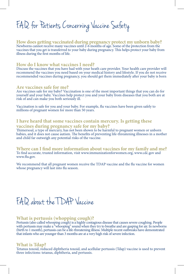F.A.D. for Patients Concerning Vaccine Safety

**How does getting vaccinated during pregnancy protect my unborn baby?** Newborns cannot receive many vaccines until 2-6 months of age. Some of the protection from the vaccines that you get is transferred to your baby during pregnancy. This helps protect your baby from illness during the first months of life.

#### **How do I know what vaccines I need?**

Discuss the vaccines that you have had with your heath care provider. Your health care provider will recommend the vaccines you need based on your medical history and lifestyle. If you do not receive recommended vaccines during pregnancy, you should get them immediately after your baby is born

#### **Are vaccines safe for me?**

Are vaccines safe for my baby? Vaccination is one of the most important things that you can do for yourself and your baby. Vaccines help protect you and your baby from diseases that you both are at risk of and can make you both seriously ill.

Vaccination is safe for you and your baby. For example, flu vaccines have been given safely to millions of pregnant women for more than 50 years.

# **I have heard that some vaccines contain mercury. Is getting these vaccines during pregnancy safe for my baby?**

Thimersoal, a type of mercury, has not been shown to be harmful to pregnant women or unborn babies, and it does not cause autism. The benefits of preventing life-threatening illnesses in a mother and child far outweigh any potential risks of the vaccine.

**Where can I find more information about vaccines for my family and me?** To find accurate, trusted information, visit www.immunizationforwomen.org, www.cdc.gov and www.flu.gov.

We recommend that all pregnant women receive the TDAP vaccine and the flu vaccine for women whose pregnancy will last into flu season.

# F.A.Q. about the TDAP Vaccine

#### **What is pertussis (whopping cough)?**

Pertussis (also called whooping cough) is a highly contagious disease that causes severe coughing. People with pertussis may make a "whooping" sound when they try to breathe and are gasping for air. In newborns (birth to 1 month), pertussis can be a life-threatening illness. Multiple recent outbreaks have demonstrated that infants who are younger than 3 months are at a very high risk of severe infection.

#### **What is Tdap?**

Tetanus toxoid, reduced diphtheria toxoid, and acellular pertussis (Tdap) vaccine is used to prevent three infections: tetanus, diphtheria, and pertussis.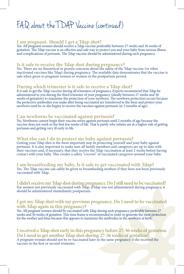# F.A.Q. about the TDAP Vaccine (continued)

# **I am pregnant. Should I get a Tdap shot?**

Yes. All pregnant women should receive a Tdap vaccine preferably between 27 weeks and 36 weeks of gestation. The Tdap vaccine is an effective and safe way to protect you and your baby from serious illness and complications of pertussis. The Tdap vaccine should be administered during each pregnancy.

# **Is it safe to receive the Tdap shot during pregnancy?**

Yes. There are no theoretical or proven concerns about the safety of the Tdap vaccine (or other inactivated vaccines like Tdap) during pregnancy. The available data demonstrates that the vaccine is safe when given to pregnant women or women in the postpartum period.

# **During which trimester is it safe to receive a Tdap shot?**

It is safe to get the Tdap vaccine during all trimesters of pregnancy. Experts recommend that Tdap be administered to you during the third trimester of your pregnancy (ideally between 27 weeks and 36 weeks of gestation) to maximize the protection of your newborn. The newborn protection occurs because the protective antibodies you make after being vaccinated are transferred to the fetus and protect your newborn until he or she begins to receive the vaccines against pertussis (at 2 months of age).

## **Can newborns be vaccinated against pertussis?**

No. Newborns cannot begin their vaccine series against pertussis until 2 months of age because the vaccine does not work in the first few weeks of life. That is partly why infants are at a higher risk of getting pertussis and getting very ill early in life.

# **What else can I do to protect my baby against pertussis?**

Getting your Tdap shot is the most important step in protecting yourself and your baby against pertussis. It is also important to make sure all family members and caregivers are up to date with their vaccines and, if necessary, that they receive the Tdap vaccination at least 2 weeks before having contact with your baby. This creates a safety "cocoon" of vaccinated caregivers around your baby.

**I am breastfeeding my baby. Is it safe to get vaccinated with Tdap?** Yes. The Tdap vaccine can safely be given to breastfeeding mothers if they have not been previously vaccinated with Tdap.

**I didn't receive my Tdap shot during pregnancy. Do I still need to be vaccinated?** For women not previously vaccinated with Tdap, if Idap was not administered during pregnancy, it should be administered immediately postpartum.

# **I got my Tdap shot with my previous pregnancy. Do I need to be vaccinated with Tdap again in this pregnancy?**

Yes. All pregnant women should be vaccinated with Tdap during each pregnancy preferably between 27 weeks and 36 weeks of gestation. This time frame is recommended in order to generate the most protection for the mother and fetus because this appears to maximize the antibodies in the newborn at birth.

# **I received a Tdap shot early in this pregnancy before 27-36 weeks of gestation. Do I need to get another Tdap shot during 27-36 weeks of gestation?**

A pregnant woman should not be re-vaccinated later in the same pregnancy if she received the vaccine in the first or second trimester.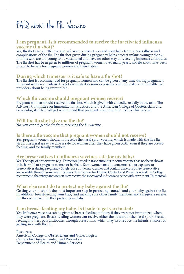# F.A.Q. about the Flu Vaccine

# **I am pregnant. Is it recommended to receive the inactivated influenza vaccine (flu shot)?**

Yes, flu shots are an effective and safe way to protect you and your baby from serious illness and complications of the flu. The flu shot given during pregnancy helps protect infants younger than 6 months who are too young to be vaccinated and have no other way of receiving influenza antibodies. The flu shot has been given to millions of pregnant women over many years, and flu shots have been shown to be safe for pregnant women and their babies.

# **During which trimester is it safe to have a flu shot?**

The flu shot is recommended for pregnant women and can be given at any time during pregnancy. Pregnant women are advised to get vaccinated as soon as possible and to speak to their health care providers about being immunized.

# **Which flu vaccine should pregnant women receive?**

Pregnant women should receive the flu shot, which is given with a needle, usually in the arm. The Advisory Committee on Immunization Practices and the American College of Obstetricians and Gynecologists (the College) recommend that pregnant women should receive this vaccine.

# **Will the flu shot give me the flu?**

No, you cannot get the flu from receiving the flu vaccine.

## **Is there a flu vaccine that pregnant women should not receive?**

Yes, pregnant women should not receive the nasal spray vaccine, which is made with the live flu virus. The nasal spray vaccine is safe for women after they have given birth, even if they are breastfeeding, and for family members.

# **Are preservatives in influenza vaccines safe for my baby?**

Yes. The type of preservative (e.g. Thimerosal) used in trace amounts in some vaccines has not been shown to be harmful to a pregnant woman or her baby. Some women may be concerned about exposure to preservatives during pregnancy. Single-dose influenza vaccinesthat contain a mercury-free preservative are available through some manufactures. The Centers for Disease Control and Prevention and the College recommend that pregnant women may receive the inactivated influenza vaccine with or without Thimerosal.

# **What else can I do to protect my baby against the flu?**

Getting your flu shot is the most important step in protecting yourself and your baby against the flu. In addition, breast-feeding your baby and making sure other family members and caregivers receive the flu vaccine will further protect your baby.

# **I am breast-feeding my baby. Is it safe to get vaccinated?**

Yes. Influenza vaccines can be given to breast-feeding mothers if they were not immunized when they were pregnant. Breast-feeding women can receive either the flu shot or the nasal spray. Breastfeeding mothers pass antibodies through breast milk, which may also reduce the infants' chances of getting sick with the flu.

Resources: American College of Obstetricians and Gynecologists Centers for Disease Control and Prevention Department of Health and Human Services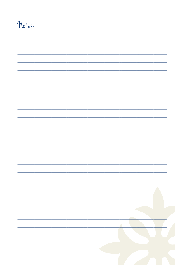# Notes

| Α |
|---|
|   |
|   |
|   |
|   |
|   |
|   |
|   |
|   |
|   |
|   |
|   |
|   |